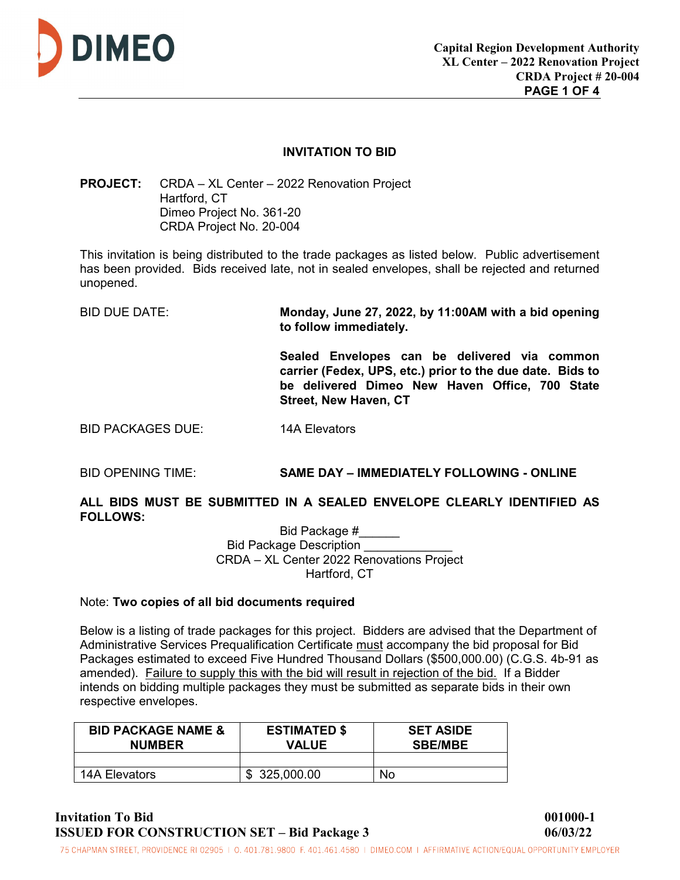

## **INVITATION TO BID**

**PROJECT:** CRDA – XL Center – 2022 Renovation Project Hartford, CT Dimeo Project No. 361-20 CRDA Project No. 20-004

This invitation is being distributed to the trade packages as listed below. Public advertisement has been provided. Bids received late, not in sealed envelopes, shall be rejected and returned unopened.

BID DUE DATE: **Monday, June 27, 2022, by 11:00AM with a bid opening to follow immediately.** 

> **Sealed Envelopes can be delivered via common carrier (Fedex, UPS, etc.) prior to the due date. Bids to be delivered Dimeo New Haven Office, 700 State Street, New Haven, CT**

BID PACKAGES DUE: 14A Elevators

# BID OPENING TIME: **SAME DAY – IMMEDIATELY FOLLOWING - ONLINE**

**ALL BIDS MUST BE SUBMITTED IN A SEALED ENVELOPE CLEARLY IDENTIFIED AS FOLLOWS:** 

Bid Package #\_\_\_\_\_\_ Bid Package Description \_ CRDA – XL Center 2022 Renovations Project Hartford, CT

#### Note: **Two copies of all bid documents required**

Below is a listing of trade packages for this project. Bidders are advised that the Department of Administrative Services Prequalification Certificate must accompany the bid proposal for Bid Packages estimated to exceed Five Hundred Thousand Dollars (\$500,000.00) (C.G.S. 4b-91 as amended). Failure to supply this with the bid will result in rejection of the bid. If a Bidder intends on bidding multiple packages they must be submitted as separate bids in their own respective envelopes.

| <b>BID PACKAGE NAME &amp;</b><br><b>NUMBER</b> | <b>ESTIMATED \$</b><br><b>VALUE</b> | <b>SET ASIDE</b><br><b>SBE/MBE</b> |
|------------------------------------------------|-------------------------------------|------------------------------------|
|                                                |                                     |                                    |
| 14A Elevators                                  | \$325,000.00                        | No.                                |

**Invitation To Bid 001000-1 ISSUED FOR CONSTRUCTION SET – Bid Package 3 06/03/22** 

75 CHAPMAN STREET, PROVIDENCE RI 02905 | 0.401.781.9800 F. 401.461.4580 | DIMEO.COM | AFFIRMATIVE ACTION/EQUAL OPPORTUNITY EMPLOYER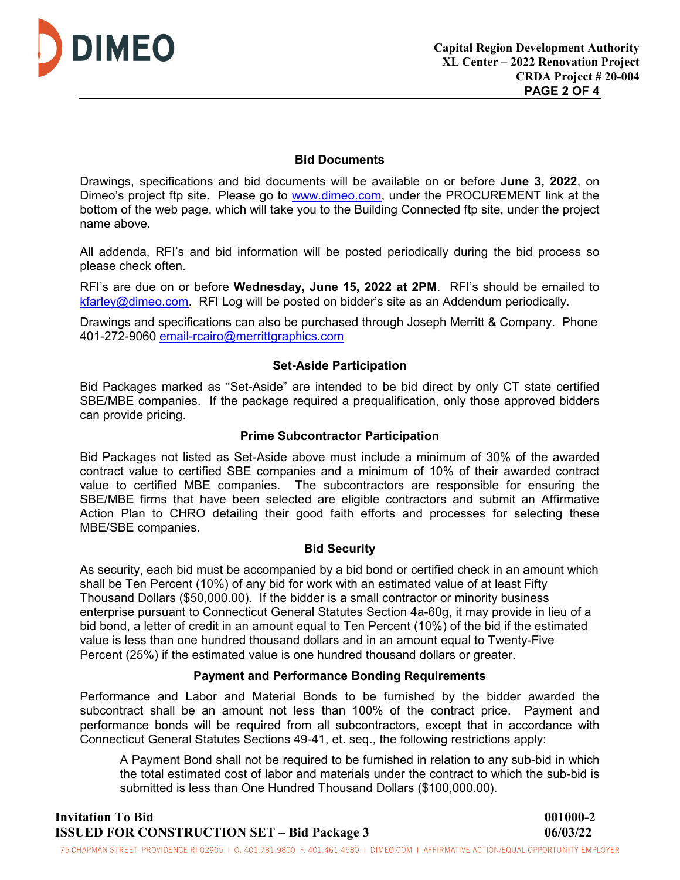

## **Bid Documents**

Drawings, specifications and bid documents will be available on or before **June 3, 2022**, on Dimeo's project ftp site. Please go to [www.dimeo.com,](http://www.dimeo.com/) under the PROCUREMENT link at the bottom of the web page, which will take you to the Building Connected ftp site, under the project name above.

All addenda, RFI's and bid information will be posted periodically during the bid process so please check often.

RFI's are due on or before **Wednesday, June 15, 2022 at 2PM**. RFI's should be emailed to [kfarley@dimeo.com.](mailto:kfarley@dimeo.com) RFI Log will be posted on bidder's site as an Addendum periodically.

Drawings and specifications can also be purchased through Joseph Merritt & Company. Phone 401-272-9060 [email-rcairo@merrittgraphics.com](mailto:email-rcairo@merrittgraphics.com)

## **Set-Aside Participation**

Bid Packages marked as "Set-Aside" are intended to be bid direct by only CT state certified SBE/MBE companies. If the package required a prequalification, only those approved bidders can provide pricing.

#### **Prime Subcontractor Participation**

Bid Packages not listed as Set-Aside above must include a minimum of 30% of the awarded contract value to certified SBE companies and a minimum of 10% of their awarded contract value to certified MBE companies. The subcontractors are responsible for ensuring the SBE/MBE firms that have been selected are eligible contractors and submit an Affirmative Action Plan to CHRO detailing their good faith efforts and processes for selecting these MBE/SBE companies.

#### **Bid Security**

As security, each bid must be accompanied by a bid bond or certified check in an amount which shall be Ten Percent (10%) of any bid for work with an estimated value of at least Fifty Thousand Dollars (\$50,000.00). If the bidder is a small contractor or minority business enterprise pursuant to Connecticut General Statutes Section 4a-60g, it may provide in lieu of a bid bond, a letter of credit in an amount equal to Ten Percent (10%) of the bid if the estimated value is less than one hundred thousand dollars and in an amount equal to Twenty-Five Percent (25%) if the estimated value is one hundred thousand dollars or greater.

#### **Payment and Performance Bonding Requirements**

Performance and Labor and Material Bonds to be furnished by the bidder awarded the subcontract shall be an amount not less than 100% of the contract price. Payment and performance bonds will be required from all subcontractors, except that in accordance with Connecticut General Statutes Sections 49-41, et. seq., the following restrictions apply:

A Payment Bond shall not be required to be furnished in relation to any sub-bid in which the total estimated cost of labor and materials under the contract to which the sub-bid is submitted is less than One Hundred Thousand Dollars (\$100,000.00).

**Invitation To Bid 001000-2 ISSUED FOR CONSTRUCTION SET – Bid Package 3 06/03/22** 

75 CHAPMAN STREET, PROVIDENCE RI 02905 | 0. 401.781.9800 F. 401.461.4580 | DIMEO.COM | AFFIRMATIVE ACTION/EQUAL OPPORTUNITY EMPLOYER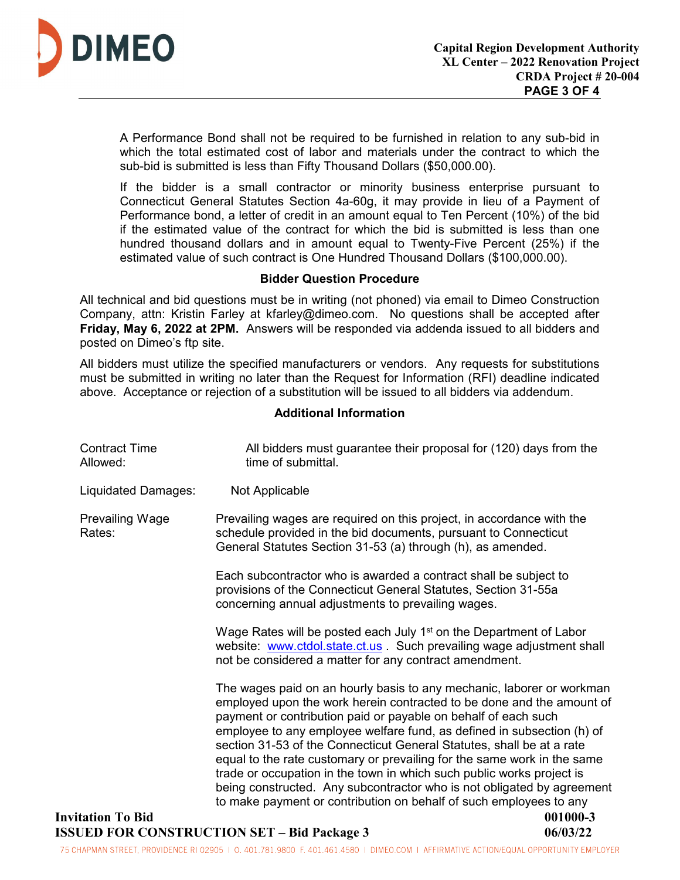

A Performance Bond shall not be required to be furnished in relation to any sub-bid in which the total estimated cost of labor and materials under the contract to which the sub-bid is submitted is less than Fifty Thousand Dollars (\$50,000.00).

If the bidder is a small contractor or minority business enterprise pursuant to Connecticut General Statutes Section 4a-60g, it may provide in lieu of a Payment of Performance bond, a letter of credit in an amount equal to Ten Percent (10%) of the bid if the estimated value of the contract for which the bid is submitted is less than one hundred thousand dollars and in amount equal to Twenty-Five Percent (25%) if the estimated value of such contract is One Hundred Thousand Dollars (\$100,000.00).

## **Bidder Question Procedure**

All technical and bid questions must be in writing (not phoned) via email to Dimeo Construction Company, attn: Kristin Farley at kfarley@dimeo.com. No questions shall be accepted after **Friday, May 6, 2022 at 2PM.** Answers will be responded via addenda issued to all bidders and posted on Dimeo's ftp site.

All bidders must utilize the specified manufacturers or vendors. Any requests for substitutions must be submitted in writing no later than the Request for Information (RFI) deadline indicated above. Acceptance or rejection of a substitution will be issued to all bidders via addendum.

## **Additional Information**

| <b>Contract Time</b><br>Allowed: | All bidders must guarantee their proposal for (120) days from the<br>time of submittal.                                                                                                                                                                                                                                                                                                                                                                                                                                                                                                                                                                                 |          |
|----------------------------------|-------------------------------------------------------------------------------------------------------------------------------------------------------------------------------------------------------------------------------------------------------------------------------------------------------------------------------------------------------------------------------------------------------------------------------------------------------------------------------------------------------------------------------------------------------------------------------------------------------------------------------------------------------------------------|----------|
| <b>Liquidated Damages:</b>       | Not Applicable                                                                                                                                                                                                                                                                                                                                                                                                                                                                                                                                                                                                                                                          |          |
| <b>Prevailing Wage</b><br>Rates: | Prevailing wages are required on this project, in accordance with the<br>schedule provided in the bid documents, pursuant to Connecticut<br>General Statutes Section 31-53 (a) through (h), as amended.                                                                                                                                                                                                                                                                                                                                                                                                                                                                 |          |
|                                  | Each subcontractor who is awarded a contract shall be subject to<br>provisions of the Connecticut General Statutes, Section 31-55a<br>concerning annual adjustments to prevailing wages.                                                                                                                                                                                                                                                                                                                                                                                                                                                                                |          |
|                                  | Wage Rates will be posted each July 1 <sup>st</sup> on the Department of Labor<br>website: www.ctdol.state.ct.us Such prevailing wage adjustment shall<br>not be considered a matter for any contract amendment.                                                                                                                                                                                                                                                                                                                                                                                                                                                        |          |
|                                  | The wages paid on an hourly basis to any mechanic, laborer or workman<br>employed upon the work herein contracted to be done and the amount of<br>payment or contribution paid or payable on behalf of each such<br>employee to any employee welfare fund, as defined in subsection (h) of<br>section 31-53 of the Connecticut General Statutes, shall be at a rate<br>equal to the rate customary or prevailing for the same work in the same<br>trade or occupation in the town in which such public works project is<br>being constructed. Any subcontractor who is not obligated by agreement<br>to make payment or contribution on behalf of such employees to any |          |
| <b>Invitation To Bid</b>         |                                                                                                                                                                                                                                                                                                                                                                                                                                                                                                                                                                                                                                                                         | 001000-3 |
|                                  |                                                                                                                                                                                                                                                                                                                                                                                                                                                                                                                                                                                                                                                                         |          |

# **ISSUED FOR CONSTRUCTION SET – Bid Package 3** 06/03/22

75 CHAPMAN STREET, PROVIDENCE RI 02905 | 0.401.781.9800 F. 401.461.4580 | DIMEO.COM | AFFIRMATIVE ACTION/EQUAL OPPORTUNITY EMPLOYER